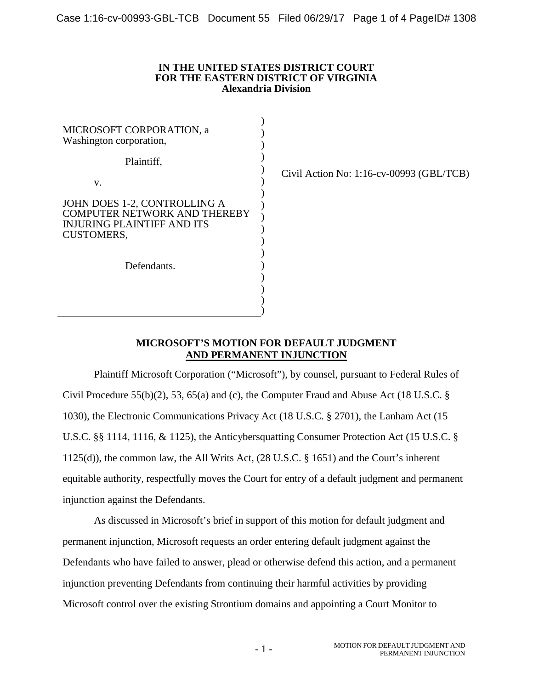### **IN THE UNITED STATES DISTRICT COURT FOR THE EASTERN DISTRICT OF VIRGINIA Alexandria Division**

| MICROSOFT CORPORATION, a<br>Washington corporation,                                                                           |  |
|-------------------------------------------------------------------------------------------------------------------------------|--|
| Plaintiff,                                                                                                                    |  |
| V.                                                                                                                            |  |
| JOHN DOES 1-2, CONTROLLING A<br><b>COMPUTER NETWORK AND THEREBY</b><br><b>INJURING PLAINTIFF AND ITS</b><br><b>CUSTOMERS,</b> |  |
| Defendants.                                                                                                                   |  |
|                                                                                                                               |  |

Civil Action No: 1:16-cv-00993 (GBL/TCB)

# **MICROSOFT'S MOTION FOR DEFAULT JUDGMENT AND PERMANENT INJUNCTION**

Plaintiff Microsoft Corporation ("Microsoft"), by counsel, pursuant to Federal Rules of Civil Procedure 55(b)(2), 53, 65(a) and (c), the Computer Fraud and Abuse Act (18 U.S.C. § 1030), the Electronic Communications Privacy Act (18 U.S.C. § 2701), the Lanham Act (15 U.S.C. §§ 1114, 1116, & 1125), the Anticybersquatting Consumer Protection Act (15 U.S.C. § 1125(d)), the common law, the All Writs Act, (28 U.S.C. § 1651) and the Court's inherent equitable authority, respectfully moves the Court for entry of a default judgment and permanent injunction against the Defendants.

As discussed in Microsoft's brief in support of this motion for default judgment and permanent injunction, Microsoft requests an order entering default judgment against the Defendants who have failed to answer, plead or otherwise defend this action, and a permanent injunction preventing Defendants from continuing their harmful activities by providing Microsoft control over the existing Strontium domains and appointing a Court Monitor to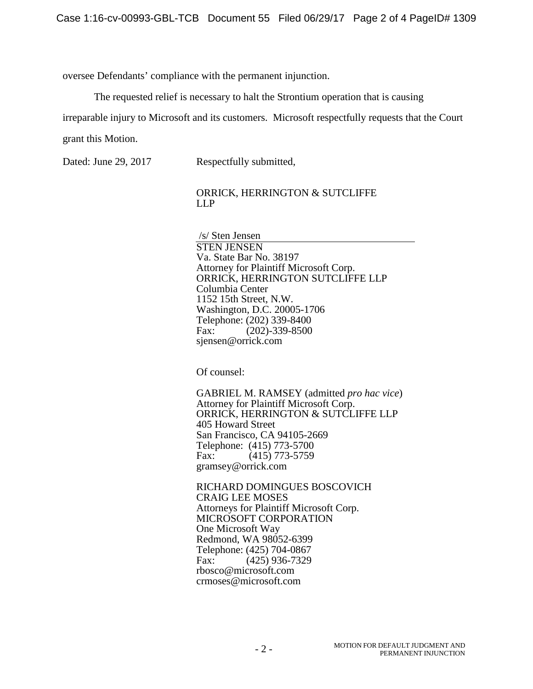oversee Defendants' compliance with the permanent injunction.

The requested relief is necessary to halt the Strontium operation that is causing

irreparable injury to Microsoft and its customers. Microsoft respectfully requests that the Court

grant this Motion.

Dated: June 29, 2017 Respectfully submitted,

ORRICK, HERRINGTON & SUTCLIFFE LLP

 /s/ Sten Jensen STEN JENSEN Va. State Bar No. 38197 Attorney for Plaintiff Microsoft Corp. ORRICK, HERRINGTON SUTCLIFFE LLP Columbia Center 1152 15th Street, N.W. Washington, D.C. 20005-1706 Telephone: (202) 339-8400 Fax: (202)-339-8500 sjensen@orrick.com

Of counsel:

GABRIEL M. RAMSEY (admitted *pro hac vice*) Attorney for Plaintiff Microsoft Corp. ORRICK, HERRINGTON & SUTCLIFFE LLP 405 Howard Street San Francisco, CA 94105-2669 Telephone: (415) 773-5700 Fax: (415) 773-5759 gramsey@orrick.com

RICHARD DOMINGUES BOSCOVICH CRAIG LEE MOSES Attorneys for Plaintiff Microsoft Corp. MICROSOFT CORPORATION One Microsoft Way Redmond, WA 98052-6399 Telephone: (425) 704-0867 Fax: (425) 936-7329 rbosco@microsoft.com crmoses@microsoft.com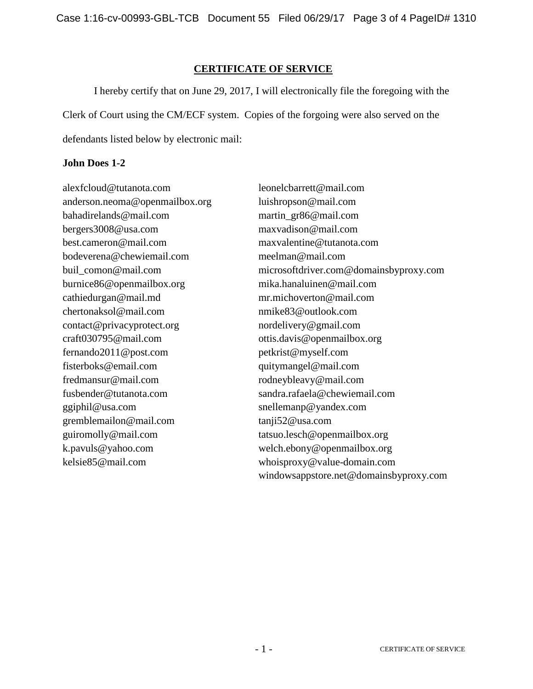Case 1:16-cv-00993-GBL-TCB Document 55 Filed 06/29/17 Page 3 of 4 PageID# 1310

# **CERTIFICATE OF SERVICE**

I hereby certify that on June 29, 2017, I will electronically file the foregoing with the Clerk of Court using the CM/ECF system. Copies of the forgoing were also served on the defendants listed below by electronic mail:

# **John Does 1-2**

alexfcloud@tutanota.com leonelcbarrett@mail.com anderson.neoma@openmailbox.org luishropson@mail.com bahadirelands@mail.com martin\_gr86@mail.com bergers3008@usa.com maxvadison@mail.com best.cameron@mail.com maxvalentine@tutanota.com bodeverena@chewiemail.com meelman@mail.com burnice86@openmailbox.org mika.hanaluinen@mail.com cathiedurgan@mail.md mr.michoverton@mail.com chertonaksol@mail.com nmike83@outlook.com contact@privacyprotect.org nordelivery@gmail.com craft030795@mail.com ottis.davis@openmailbox.org fernando2011@post.com petkrist@myself.com fisterboks@email.com quitymangel@mail.com fredmansur@mail.com rodneybleavy@mail.com fusbender@tutanota.com sandra.rafaela@chewiemail.com ggiphil@usa.com snellemanp@yandex.com gremblemailon@mail.com tanji52@usa.com guiromolly@mail.com tatsuo.lesch@openmailbox.org k.pavuls@yahoo.com welch.ebony@openmailbox.org kelsie85@mail.com whoisproxy@value-domain.com

buil\_comon@mail.com microsoftdriver.com@domainsbyproxy.com windowsappstore.net@domainsbyproxy.com